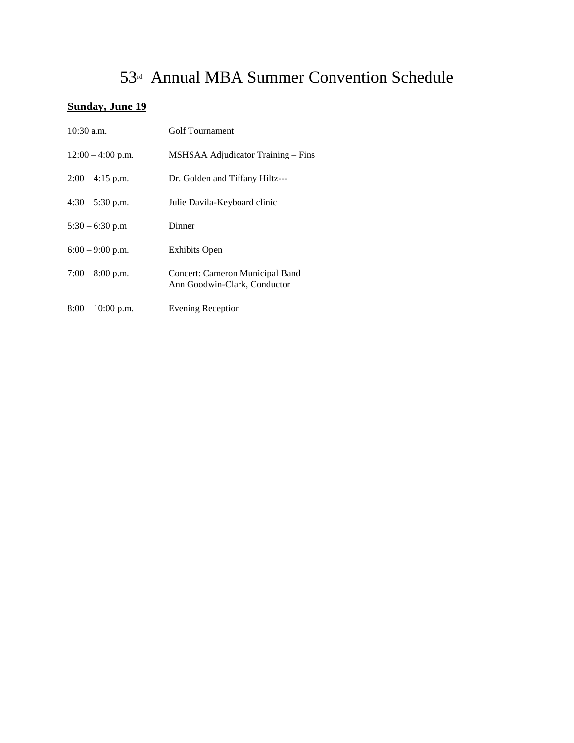# 53rd Annual MBA Summer Convention Schedule

## **Sunday, June 19**

| 10:30 a.m.          | Golf Tournament                                                 |
|---------------------|-----------------------------------------------------------------|
| $12:00 - 4:00$ p.m. | MSHSAA Adjudicator Training - Fins                              |
| $2:00 - 4:15$ p.m.  | Dr. Golden and Tiffany Hiltz---                                 |
| $4:30 - 5:30$ p.m.  | Julie Davila-Keyboard clinic                                    |
| $5:30 - 6:30$ p.m   | Dinner                                                          |
| $6:00 - 9:00$ p.m.  | <b>Exhibits Open</b>                                            |
| $7:00-8:00$ p.m.    | Concert: Cameron Municipal Band<br>Ann Goodwin-Clark, Conductor |
| $8:00 - 10:00$ p.m. | <b>Evening Reception</b>                                        |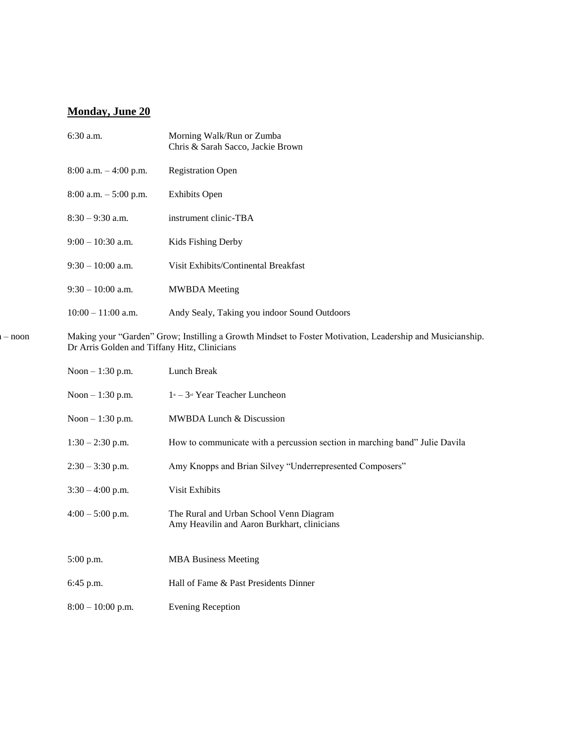## **Monday, June 20**

|          | $6:30$ a.m.                                  | Morning Walk/Run or Zumba<br>Chris & Sarah Sacco, Jackie Brown                                            |
|----------|----------------------------------------------|-----------------------------------------------------------------------------------------------------------|
|          | 8:00 a.m. $-4:00$ p.m.                       | <b>Registration Open</b>                                                                                  |
|          | $8:00$ a.m. $-5:00$ p.m.                     | <b>Exhibits Open</b>                                                                                      |
|          | $8:30 - 9:30$ a.m.                           | instrument clinic-TBA                                                                                     |
|          | $9:00 - 10:30$ a.m.                          | Kids Fishing Derby                                                                                        |
|          | $9:30 - 10:00$ a.m.                          | Visit Exhibits/Continental Breakfast                                                                      |
|          | $9:30-10:00$ a.m.                            | <b>MWBDA</b> Meeting                                                                                      |
|          | $10:00 - 11:00$ a.m.                         | Andy Sealy, Taking you indoor Sound Outdoors                                                              |
| $-$ noon | Dr Arris Golden and Tiffany Hitz, Clinicians | Making your "Garden" Grow; Instilling a Growth Mindset to Foster Motivation, Leadership and Musicianship. |
|          | Noon $-1:30$ p.m.                            | Lunch Break                                                                                               |
|          | Noon $-1:30$ p.m.                            | 1st – 3rd Year Teacher Luncheon                                                                           |
|          | Noon $-1:30$ p.m.                            | MWBDA Lunch & Discussion                                                                                  |
|          | $1:30 - 2:30$ p.m.                           | How to communicate with a percussion section in marching band" Julie Davila                               |
|          | $2:30 - 3:30$ p.m.                           | Amy Knopps and Brian Silvey "Underrepresented Composers"                                                  |
|          | $3:30 - 4:00$ p.m.                           | Visit Exhibits                                                                                            |
|          | $4:00 - 5:00$ p.m.                           | The Rural and Urban School Venn Diagram<br>Amy Heavilin and Aaron Burkhart, clinicians                    |
|          | 5:00 p.m.                                    | <b>MBA Business Meeting</b>                                                                               |
|          | 6:45 p.m.                                    | Hall of Fame & Past Presidents Dinner                                                                     |
|          | $8:00 - 10:00$ p.m.                          | <b>Evening Reception</b>                                                                                  |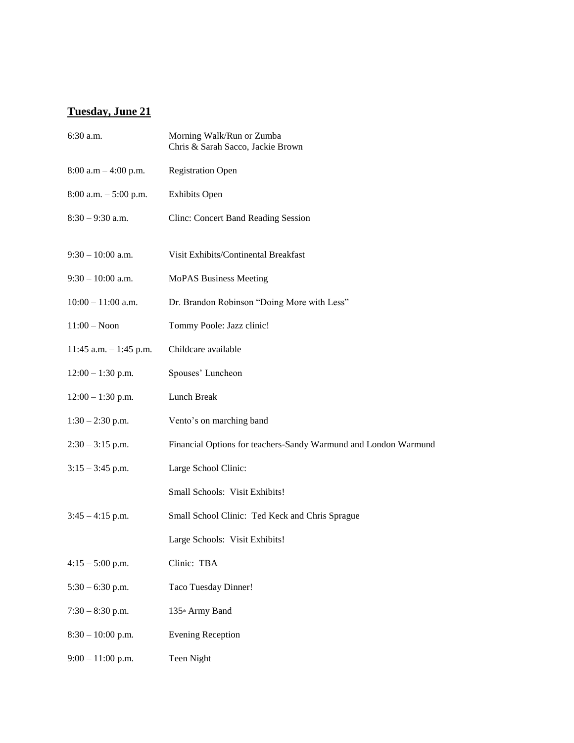#### **Tuesday, June 21**

| 6:30 a.m.                | Morning Walk/Run or Zumba<br>Chris & Sarah Sacco, Jackie Brown  |  |
|--------------------------|-----------------------------------------------------------------|--|
| 8:00 a.m $-$ 4:00 p.m.   | <b>Registration Open</b>                                        |  |
| $8:00$ a.m. $-5:00$ p.m. | <b>Exhibits Open</b>                                            |  |
| $8:30 - 9:30$ a.m.       | <b>Clinc: Concert Band Reading Session</b>                      |  |
| $9:30 - 10:00$ a.m.      | Visit Exhibits/Continental Breakfast                            |  |
| $9:30 - 10:00$ a.m.      | MoPAS Business Meeting                                          |  |
| $10:00 - 11:00$ a.m.     | Dr. Brandon Robinson "Doing More with Less"                     |  |
| $11:00 - N$ oon          | Tommy Poole: Jazz clinic!                                       |  |
| 11:45 a.m. $-$ 1:45 p.m. | Childcare available                                             |  |
| $12:00 - 1:30$ p.m.      | Spouses' Luncheon                                               |  |
| $12:00 - 1:30$ p.m.      | Lunch Break                                                     |  |
| $1:30 - 2:30$ p.m.       | Vento's on marching band                                        |  |
| $2:30 - 3:15$ p.m.       | Financial Options for teachers-Sandy Warmund and London Warmund |  |
| $3:15 - 3:45$ p.m.       | Large School Clinic:                                            |  |
|                          | Small Schools: Visit Exhibits!                                  |  |
| $3:45 - 4:15$ p.m.       | Small School Clinic: Ted Keck and Chris Sprague                 |  |
|                          | Large Schools: Visit Exhibits!                                  |  |
| $4:15 - 5:00$ p.m.       | Clinic: TBA                                                     |  |
| $5:30 - 6:30$ p.m.       | Taco Tuesday Dinner!                                            |  |
| $7:30 - 8:30$ p.m.       | 135 <sup>th</sup> Army Band                                     |  |
| $8:30 - 10:00$ p.m.      | <b>Evening Reception</b>                                        |  |
| $9:00 - 11:00$ p.m.      | Teen Night                                                      |  |